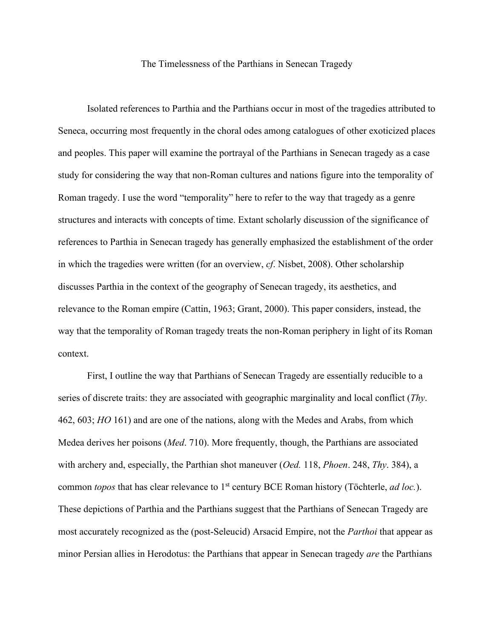## The Timelessness of the Parthians in Senecan Tragedy

Isolated references to Parthia and the Parthians occur in most of the tragedies attributed to Seneca, occurring most frequently in the choral odes among catalogues of other exoticized places and peoples. This paper will examine the portrayal of the Parthians in Senecan tragedy as a case study for considering the way that non-Roman cultures and nations figure into the temporality of Roman tragedy. I use the word "temporality" here to refer to the way that tragedy as a genre structures and interacts with concepts of time. Extant scholarly discussion of the significance of references to Parthia in Senecan tragedy has generally emphasized the establishment of the order in which the tragedies were written (for an overview, *cf*. Nisbet, 2008). Other scholarship discusses Parthia in the context of the geography of Senecan tragedy, its aesthetics, and relevance to the Roman empire (Cattin, 1963; Grant, 2000). This paper considers, instead, the way that the temporality of Roman tragedy treats the non-Roman periphery in light of its Roman context.

First, I outline the way that Parthians of Senecan Tragedy are essentially reducible to a series of discrete traits: they are associated with geographic marginality and local conflict (*Thy*. 462, 603; *HO* 161) and are one of the nations, along with the Medes and Arabs, from which Medea derives her poisons (*Med*. 710). More frequently, though, the Parthians are associated with archery and, especially, the Parthian shot maneuver (*Oed.* 118, *Phoen*. 248, *Thy*. 384), a common *topos* that has clear relevance to 1<sup>st</sup> century BCE Roman history (Töchterle, *ad loc.*). These depictions of Parthia and the Parthians suggest that the Parthians of Senecan Tragedy are most accurately recognized as the (post-Seleucid) Arsacid Empire, not the *Parthoi* that appear as minor Persian allies in Herodotus: the Parthians that appear in Senecan tragedy *are* the Parthians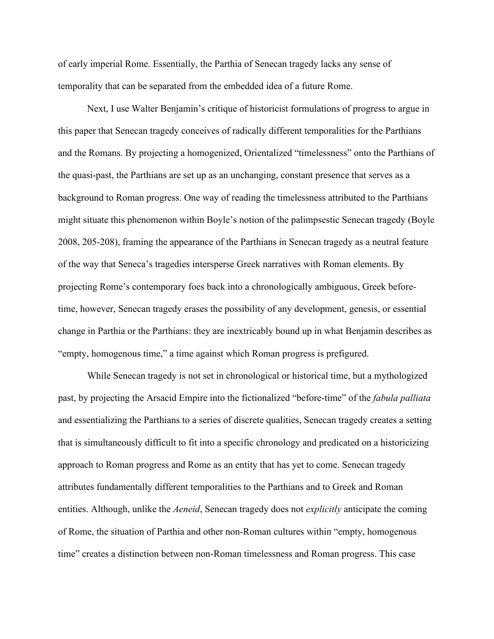of early imperial Rome. Essentially, the Parthia of Senecan tragedy lacks any sense of temporality that can be separated from the embedded idea of a future Rome.

Next, I use Walter Benjamin's critique of historicist formulations of progress to argue in this paper that Senecan tragedy conceives of radically different temporalities for the Parthians and the Romans. By projecting a homogenized, Orientalized "timelessness" onto the Parthians of the quasi-past, the Parthians are set up as an unchanging, constant presence that serves as a background to Roman progress. One way of reading the timelessness attributed to the Parthians might situate this phenomenon within Boyle's notion of the palimpsestic Senecan tragedy (Boyle 2008, 205-208), framing the appearance of the Parthians in Senecan tragedy as a neutral feature of the way that Seneca's tragedies intersperse Greek narratives with Roman elements. By projecting Rome's contemporary foes back into a chronologically ambiguous, Greek beforetime, however, Senecan tragedy erases the possibility of any development, genesis, or essential change in Parthia or the Parthians: they are inextricably bound up in what Benjamin describes as "empty, homogenous time," a time against which Roman progress is prefigured.

While Senecan tragedy is not set in chronological or historical time, but a mythologized past, by projecting the Arsacid Empire into the fictionalized "before-time" of the *fabula palliata* and essentializing the Parthians to a series of discrete qualities, Senecan tragedy creates a setting that is simultaneously difficult to fit into a specific chronology and predicated on a historicizing approach to Roman progress and Rome as an entity that has yet to come. Senecan tragedy attributes fundamentally different temporalities to the Parthians and to Greek and Roman entities. Although, unlike the *Aeneid*, Senecan tragedy does not *explicitly* anticipate the coming of Rome, the situation of Parthia and other non-Roman cultures within "empty, homogenous time" creates a distinction between non-Roman timelessness and Roman progress. This case